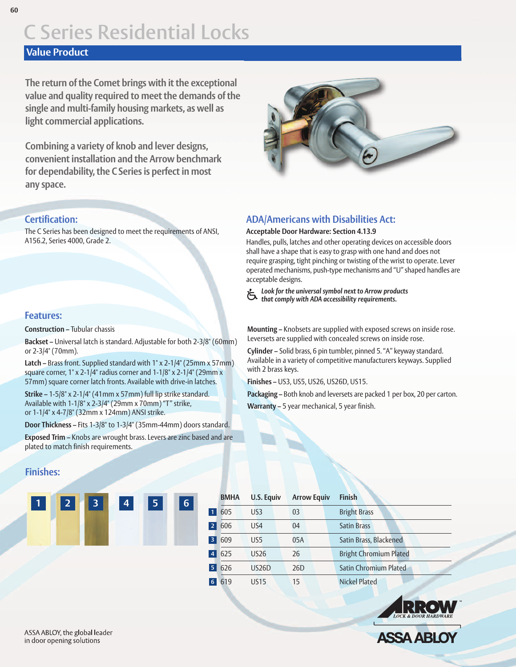### **Value Product**

**The return of the Comet brings with it the exceptional value and quality required to meet the demands of the single and multi-family housing markets, as well as light commercial applications.**

**Combining a variety of knob and lever designs, convenient installation and the Arrow benchmark for dependability, the CSeries is perfect in most any space.**

#### **Certification:**

The C Series has been designed to meet the requirements of ANSI, A156.2, Series 4000, Grade 2.

#### **Features:**

**Construction –** Tubular chassis

**Backset –** Universal latch is standard. Adjustable for both 2-3/8" (60mm) or 2-3/4" (70mm).

**Latch –** Brass front. Supplied standard with 1" x 2-1/4" (25mm x 57mm) square corner, 1" x 2-1/4" radius corner and 1-1/8" x 2-1/4" (29mm x 57mm) square corner latch fronts. Available with drive-in latches.

**Strike –** 1-5/8" x 2-1/4" (41mm x 57mm) full lip strike standard. Available with 1-1/8" x 2-3/4" (29mm x 70mm) "T" strike, or 1-1/4" x 4-7/8" (32mm x 124mm) ANSI strike.

**Door Thickness –** Fits 1-3/8" to 1-3/4" (35mm-44mm) doors standard.

**Exposed Trim –** Knobs are wrought brass. Levers are zinc based and are plated to match finish requirements.

### **Finishes:**





### **ADA/Americans with Disabilities Act:**

#### **Acceptable Door Hardware: Section 4.13.9**

Handles, pulls, latches and other operating devices on accessible doors shall have a shape that is easy to grasp with one hand and does not require grasping, tight pinching or twisting of the wrist to operate. Lever operated mechanisms, push-type mechanisms and "U" shaped handles are acceptable designs.

*Look* for the *universal symbol next* to *Arrow products* that *comply* with *ADA accessibility requirements.* 

**Mounting –** Knobsets are supplied with exposed screws on inside rose. Leversets are supplied with concealed screws on inside rose.

**Cylinder –** Solid brass, 6 pin tumbler, pinned 5. "A" keyway standard. Available in a variety of competitive manufacturers keyways. Supplied with 2 brass keys.

**Finishes –** US3, US5, US26, US26D, US15.

**Packaging –** Both knob and leversets are packed 1 per box, 20 per carton. **Warranty –** 5 year mechanical, 5 year finish.

|                | <b>BMHA</b> | U.S. Equiv      | <b>Arrow Equiv</b> | <b>Finish</b>                 |
|----------------|-------------|-----------------|--------------------|-------------------------------|
| $\overline{1}$ | 605         | US <sub>3</sub> | 03                 | <b>Bright Brass</b>           |
| $\overline{2}$ | 606         | US4             | 04                 | <b>Satin Brass</b>            |
| 3              | 609         | US5             | 05A                | Satin Brass, Blackened        |
| $\overline{4}$ | 625         | <b>US26</b>     | 26                 | <b>Bright Chromium Plated</b> |
| 5              | 626         | <b>US26D</b>    | 26 <sub>D</sub>    | <b>Satin Chromium Plated</b>  |
| 6              | 619         | <b>US15</b>     | 15                 | <b>Nickel Plated</b>          |

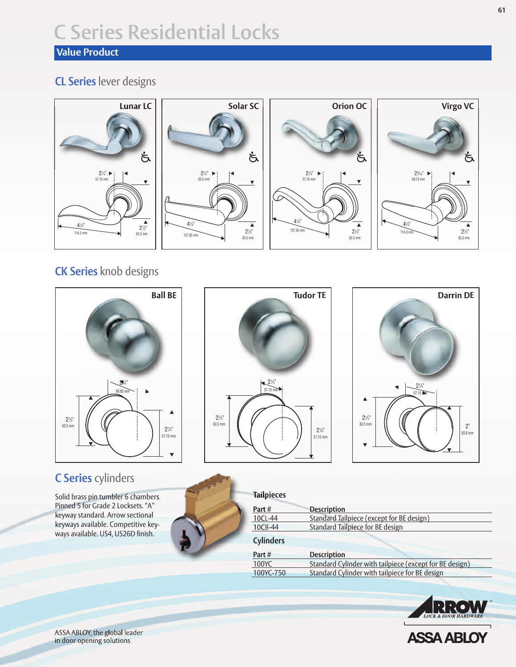## **Value Product**

## **CL Series** lever designs



## **CK Series** knob designs



## **C Series** cylinders

Solid brass pin tumbler 6 chambers. Pinned 5 for Grade 2 Locksets. "A" keyway standard. Arrow sectional keyways available. Competitive keyways available. US4, US26D finish.





| <b>Tailpieces</b> |                                                         |  |  |  |
|-------------------|---------------------------------------------------------|--|--|--|
| Part#             | <b>Description</b>                                      |  |  |  |
| 10CL-44           | Standard Tailpiece (except for BE design)               |  |  |  |
| 10CB-44           | Standard Tailpiece for BE design                        |  |  |  |
|                   |                                                         |  |  |  |
| <b>Cylinders</b>  |                                                         |  |  |  |
| Part#             | <b>Description</b>                                      |  |  |  |
| 100YC             | Standard Cylinder with tailpiece (except for BE design) |  |  |  |



**ASSA ABLOY** 



ASSA ABLOY, the global leader in door opening solutions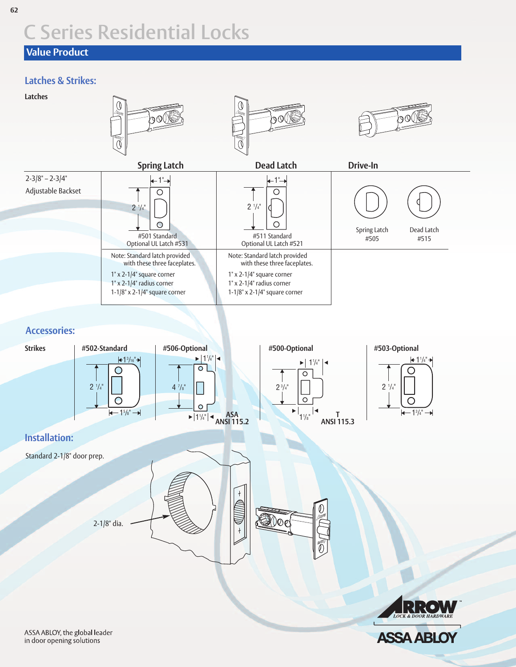## **Value Product**

### **Latches & Strikes:**



**ASSA ABLOY**